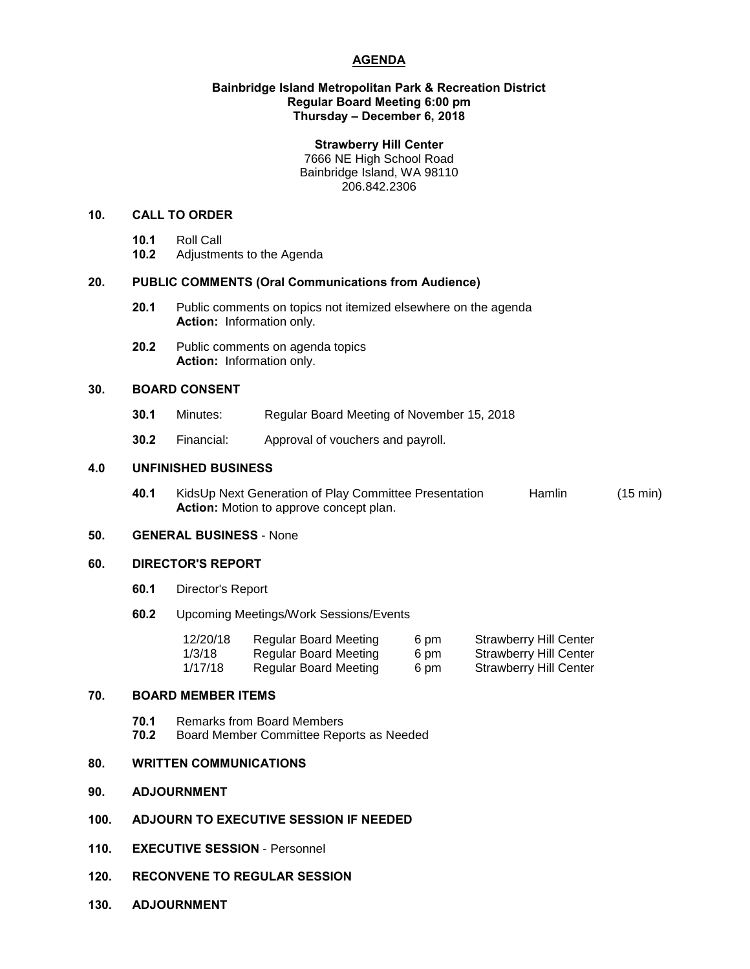# **AGENDA**

# **Bainbridge Island Metropolitan Park & Recreation District Regular Board Meeting 6:00 pm Thursday – December 6, 2018**

### **Strawberry Hill Center**

7666 NE High School Road Bainbridge Island, WA 98110 206.842.2306

# **10. CALL TO ORDER**

- **10.1** Roll Call
- **10.2** Adjustments to the Agenda

# **20. PUBLIC COMMENTS (Oral Communications from Audience)**

- **20.1** Public comments on topics not itemized elsewhere on the agenda **Action:** Information only.
- **20.2** Public comments on agenda topics **Action:** Information only.

# **30. BOARD CONSENT**

- **30.1** Minutes: Regular Board Meeting of November 15, 2018
- **30.2** Financial: Approval of vouchers and payroll.

## **4.0 UNFINISHED BUSINESS**

**40.1** KidsUp Next Generation of Play Committee Presentation Hamlin (15 min) **Action:** Motion to approve concept plan.

# **50. GENERAL BUSINESS** - None

#### **60. DIRECTOR'S REPORT**

- **60.1** Director's Report
- **60.2** Upcoming Meetings/Work Sessions/Events

| 12/20/18 | Regular Board Meeting | 6 pm | Strawberry Hill Center |
|----------|-----------------------|------|------------------------|
| 1/3/18   | Regular Board Meeting | 6 pm | Strawberry Hill Center |
| 1/17/18  | Regular Board Meeting | 6 pm | Strawberry Hill Center |

# **70. BOARD MEMBER ITEMS**

**70.1** Remarks from Board Members **70.2** Board Member Committee Reports as Needed

## **80. WRITTEN COMMUNICATIONS**

- **90. ADJOURNMENT**
- **100. ADJOURN TO EXECUTIVE SESSION IF NEEDED**
- **110. EXECUTIVE SESSION** Personnel
- **120. RECONVENE TO REGULAR SESSION**
- **130. ADJOURNMENT**